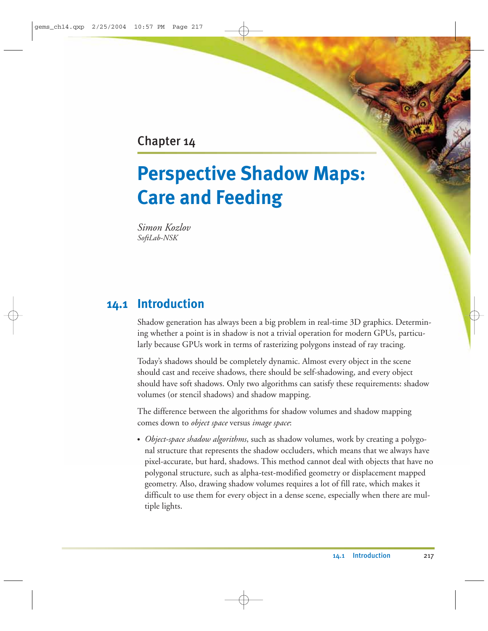Chapter 14

# **Perspective Shadow Maps: Care and Feeding**

*Simon Kozlov SoftLab-NSK*

## **14.1 Introduction**

Shadow generation has always been a big problem in real-time 3D graphics. Determining whether a point is in shadow is not a trivial operation for modern GPUs, particularly because GPUs work in terms of rasterizing polygons instead of ray tracing.

Today's shadows should be completely dynamic. Almost every object in the scene should cast and receive shadows, there should be self-shadowing, and every object should have soft shadows. Only two algorithms can satisfy these requirements: shadow volumes (or stencil shadows) and shadow mapping.

The difference between the algorithms for shadow volumes and shadow mapping comes down to *object space* versus *image space*:

• *Object-space shadow algorithms*, such as shadow volumes, work by creating a polygonal structure that represents the shadow occluders, which means that we always have pixel-accurate, but hard, shadows. This method cannot deal with objects that have no polygonal structure, such as alpha-test-modified geometry or displacement mapped geometry. Also, drawing shadow volumes requires a lot of fill rate, which makes it difficult to use them for every object in a dense scene, especially when there are multiple lights.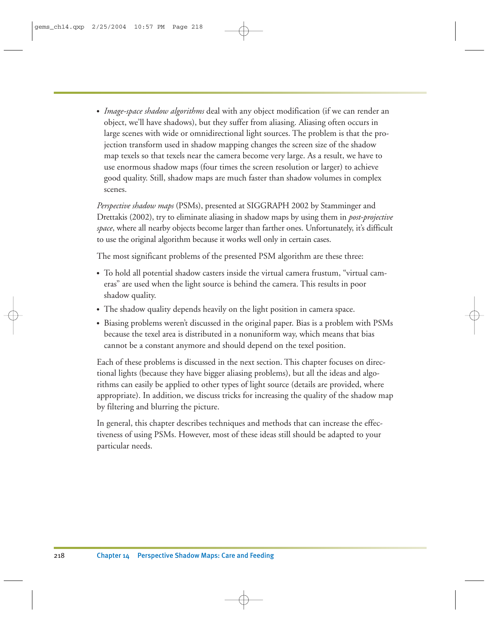• *Image-space shadow algorithms* deal with any object modification (if we can render an object, we'll have shadows), but they suffer from aliasing. Aliasing often occurs in large scenes with wide or omnidirectional light sources. The problem is that the projection transform used in shadow mapping changes the screen size of the shadow map texels so that texels near the camera become very large. As a result, we have to use enormous shadow maps (four times the screen resolution or larger) to achieve good quality. Still, shadow maps are much faster than shadow volumes in complex scenes.

*Perspective shadow maps* (PSMs), presented at SIGGRAPH 2002 by Stamminger and Drettakis (2002), try to eliminate aliasing in shadow maps by using them in *post-projective space*, where all nearby objects become larger than farther ones. Unfortunately, it's difficult to use the original algorithm because it works well only in certain cases.

The most significant problems of the presented PSM algorithm are these three:

- To hold all potential shadow casters inside the virtual camera frustum, "virtual cameras" are used when the light source is behind the camera. This results in poor shadow quality.
- The shadow quality depends heavily on the light position in camera space.
- Biasing problems weren't discussed in the original paper. Bias is a problem with PSMs because the texel area is distributed in a nonuniform way, which means that bias cannot be a constant anymore and should depend on the texel position.

Each of these problems is discussed in the next section. This chapter focuses on directional lights (because they have bigger aliasing problems), but all the ideas and algorithms can easily be applied to other types of light source (details are provided, where appropriate). In addition, we discuss tricks for increasing the quality of the shadow map by filtering and blurring the picture.

In general, this chapter describes techniques and methods that can increase the effectiveness of using PSMs. However, most of these ideas still should be adapted to your particular needs.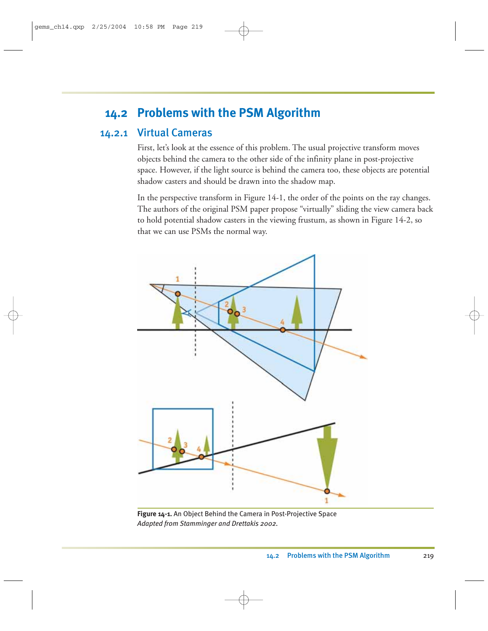# **14.2 Problems with the PSM Algorithm**

# 14.2.1 Virtual Cameras

First, let's look at the essence of this problem. The usual projective transform moves objects behind the camera to the other side of the infinity plane in post-projective space. However, if the light source is behind the camera too, these objects are potential shadow casters and should be drawn into the shadow map.

In the perspective transform in Figure 14-1, the order of the points on the ray changes. The authors of the original PSM paper propose "virtually" sliding the view camera back to hold potential shadow casters in the viewing frustum, as shown in Figure 14-2, so that we can use PSMs the normal way.



**Figure 14-1.** An Object Behind the Camera in Post-Projective Space *Adapted from Stamminger and Drettakis 2002.*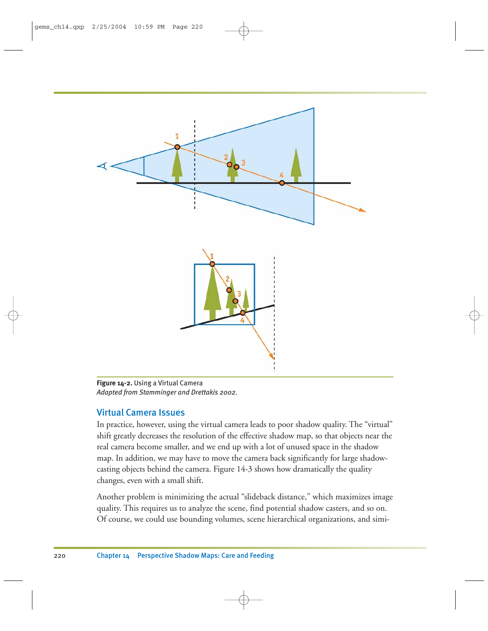

**Figure 14-2.** Using a Virtual Camera *Adapted from Stamminger and Drettakis 2002.*

#### Virtual Camera Issues

In practice, however, using the virtual camera leads to poor shadow quality. The "virtual" shift greatly decreases the resolution of the effective shadow map, so that objects near the real camera become smaller, and we end up with a lot of unused space in the shadow map. In addition, we may have to move the camera back significantly for large shadowcasting objects behind the camera. Figure 14-3 shows how dramatically the quality changes, even with a small shift.

Another problem is minimizing the actual "slideback distance," which maximizes image quality. This requires us to analyze the scene, find potential shadow casters, and so on. Of course, we could use bounding volumes, scene hierarchical organizations, and simi-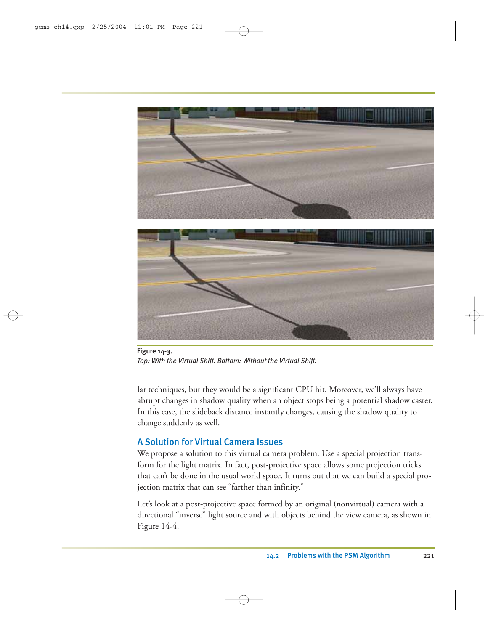

**Figure 14-3.** *Top: With the Virtual Shift. Bottom: Without the Virtual Shift.*

lar techniques, but they would be a significant CPU hit. Moreover, we'll always have abrupt changes in shadow quality when an object stops being a potential shadow caster. In this case, the slideback distance instantly changes, causing the shadow quality to change suddenly as well.

### A Solution for Virtual Camera Issues

We propose a solution to this virtual camera problem: Use a special projection transform for the light matrix. In fact, post-projective space allows some projection tricks that can't be done in the usual world space. It turns out that we can build a special projection matrix that can see "farther than infinity."

Let's look at a post-projective space formed by an original (nonvirtual) camera with a directional "inverse" light source and with objects behind the view camera, as shown in Figure 14-4.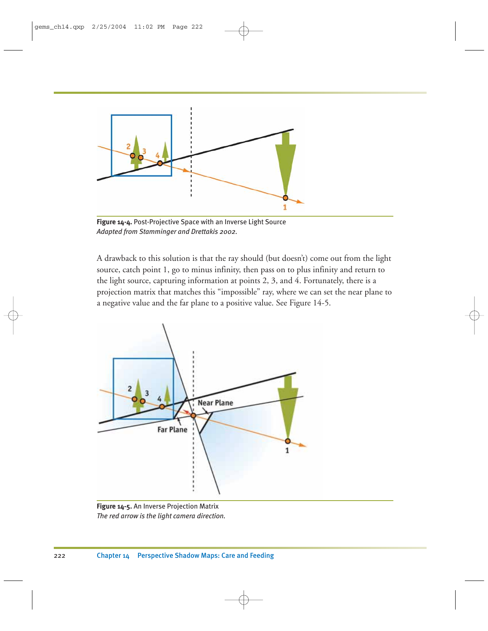

**Figure 14-4.** Post-Projective Space with an Inverse Light Source *Adapted from Stamminger and Drettakis 2002.*

A drawback to this solution is that the ray should (but doesn't) come out from the light source, catch point 1, go to minus infinity, then pass on to plus infinity and return to the light source, capturing information at points 2, 3, and 4. Fortunately, there is a projection matrix that matches this "impossible" ray, where we can set the near plane to a negative value and the far plane to a positive value. See Figure 14-5.



**Figure 14-5.** An Inverse Projection Matrix *The red arrow is the light camera direction.*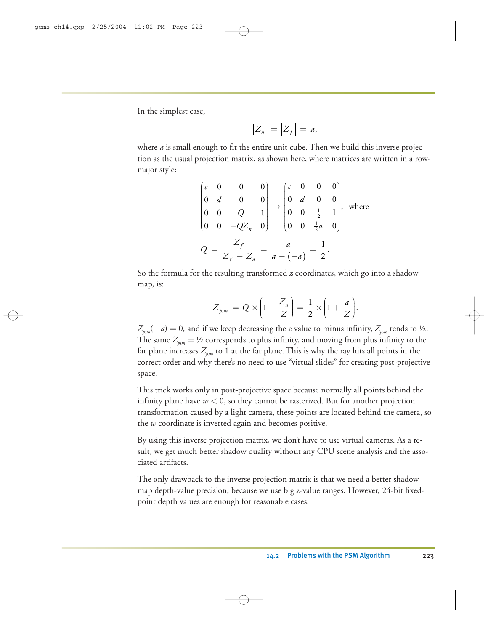In the simplest case,

$$
|Z_n| = |Z_f| = a,
$$

where *a* is small enough to fit the entire unit cube. Then we build this inverse projection as the usual projection matrix, as shown here, where matrices are written in a rowmajor style:

$$
\begin{pmatrix} c & 0 & 0 & 0 \ 0 & d & 0 & 0 \ 0 & 0 & Q & 1 \ 0 & 0 & -QZ_n & 0 \end{pmatrix} \rightarrow \begin{pmatrix} c & 0 & 0 & 0 \ 0 & d & 0 & 0 \ 0 & 0 & \frac{1}{2} & 1 \ 0 & 0 & \frac{1}{2}a & 0 \end{pmatrix}, \text{ where}
$$
  

$$
Q = \frac{Z_f}{Z_f - Z_n} = \frac{a}{a - (-a)} = \frac{1}{2}.
$$

So the formula for the resulting transformed *z* coordinates, which go into a shadow map, is:

$$
Z_{\text{psm}} = Q \times \left(1 - \frac{Z_n}{Z}\right) = \frac{1}{2} \times \left(1 + \frac{a}{Z}\right).
$$

 $Z_{psm}(-a) = 0$ , and if we keep decreasing the *z* value to minus infinity,  $Z_{psm}$  tends to ½. The same  $Z_{\text{psm}} = \frac{1}{2}$  corresponds to plus infinity, and moving from plus infinity to the far plane increases  $Z_{\text{psm}}$  to 1 at the far plane. This is why the ray hits all points in the correct order and why there's no need to use "virtual slides" for creating post-projective space.

This trick works only in post-projective space because normally all points behind the infinity plane have  $w < 0$ , so they cannot be rasterized. But for another projection transformation caused by a light camera, these points are located behind the camera, so the *w* coordinate is inverted again and becomes positive.

By using this inverse projection matrix, we don't have to use virtual cameras. As a result, we get much better shadow quality without any CPU scene analysis and the associated artifacts.

The only drawback to the inverse projection matrix is that we need a better shadow map depth-value precision, because we use big *z*-value ranges. However, 24-bit fixedpoint depth values are enough for reasonable cases.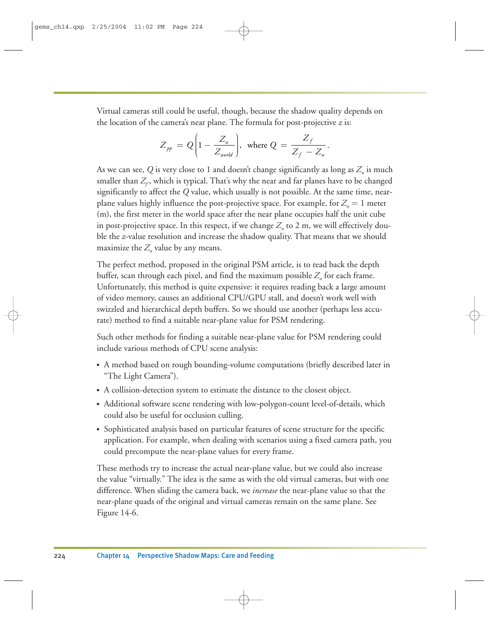Virtual cameras still could be useful, though, because the shadow quality depends on the location of the camera's near plane. The formula for post-projective *z* is:

$$
Z_{pp} = Q\bigg(1 - \frac{Z_n}{Z_{world}}\bigg), \text{ where } Q = \frac{Z_f}{Z_f - Z_n}.
$$

As we can see,  $Q$  is very close to 1 and doesn't change significantly as long as  $Z_n$  is much smaller than  $Z_f$ , which is typical. That's why the near and far planes have to be changed significantly to affect the *Q* value, which usually is not possible. At the same time, nearplane values highly influence the post-projective space. For example, for  $Z_n = 1$  meter (m), the first meter in the world space after the near plane occupies half the unit cube in post-projective space. In this respect, if we change  $Z<sub>n</sub>$  to 2 m, we will effectively double the *z*-value resolution and increase the shadow quality. That means that we should maximize the  $Z_n$  value by any means.

The perfect method, proposed in the original PSM article, is to read back the depth buffer, scan through each pixel, and find the maximum possible  $Z<sub>n</sub>$  for each frame. Unfortunately, this method is quite expensive: it requires reading back a large amount of video memory, causes an additional CPU/GPU stall, and doesn't work well with swizzled and hierarchical depth buffers. So we should use another (perhaps less accurate) method to find a suitable near-plane value for PSM rendering.

Such other methods for finding a suitable near-plane value for PSM rendering could include various methods of CPU scene analysis:

- A method based on rough bounding-volume computations (briefly described later in "The Light Camera").
- A collision-detection system to estimate the distance to the closest object.
- Additional software scene rendering with low-polygon-count level-of-details, which could also be useful for occlusion culling.
- Sophisticated analysis based on particular features of scene structure for the specific application. For example, when dealing with scenarios using a fixed camera path, you could precompute the near-plane values for every frame.

These methods try to increase the actual near-plane value, but we could also increase the value "virtually." The idea is the same as with the old virtual cameras, but with one difference. When sliding the camera back, we *increase* the near-plane value so that the near-plane quads of the original and virtual cameras remain on the same plane. See Figure 14-6.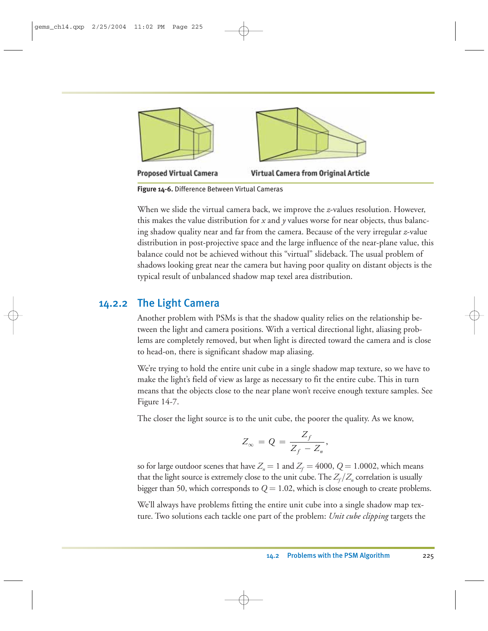

**Figure 14-6.** Difference Between Virtual Cameras

When we slide the virtual camera back, we improve the *z*-values resolution. However, this makes the value distribution for *x* and *y* values worse for near objects, thus balancing shadow quality near and far from the camera. Because of the very irregular *z*-value distribution in post-projective space and the large influence of the near-plane value, this balance could not be achieved without this "virtual" slideback. The usual problem of shadows looking great near the camera but having poor quality on distant objects is the typical result of unbalanced shadow map texel area distribution.

### 14.2.2 The Light Camera

Another problem with PSMs is that the shadow quality relies on the relationship between the light and camera positions. With a vertical directional light, aliasing problems are completely removed, but when light is directed toward the camera and is close to head-on, there is significant shadow map aliasing.

We're trying to hold the entire unit cube in a single shadow map texture, so we have to make the light's field of view as large as necessary to fit the entire cube. This in turn means that the objects close to the near plane won't receive enough texture samples. See Figure 14-7.

The closer the light source is to the unit cube, the poorer the quality. As we know,

$$
Z_{\infty} = Q = \frac{Z_f}{Z_f - Z_n},
$$

so for large outdoor scenes that have  $Z_n = 1$  and  $Z_f = 4000$ ,  $Q = 1.0002$ , which means that the light source is extremely close to the unit cube. The  $Z_f/Z_n$  correlation is usually bigger than 50, which corresponds to *Q* = 1.02, which is close enough to create problems.

We'll always have problems fitting the entire unit cube into a single shadow map texture. Two solutions each tackle one part of the problem: *Unit cube clipping* targets the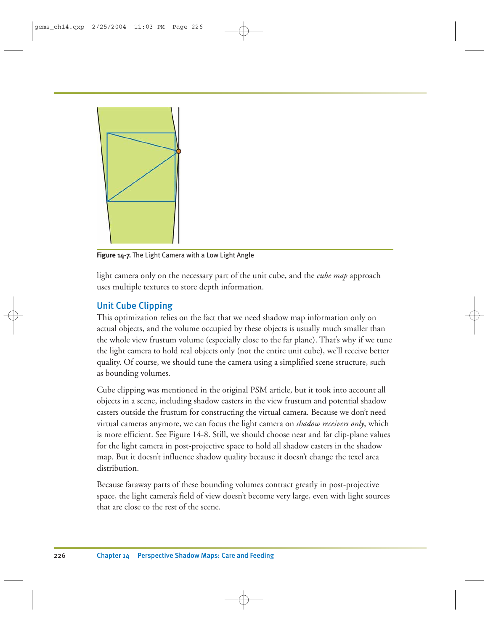

**Figure 14-7.** The Light Camera with a Low Light Angle

light camera only on the necessary part of the unit cube, and the *cube map* approach uses multiple textures to store depth information.

#### Unit Cube Clipping

This optimization relies on the fact that we need shadow map information only on actual objects, and the volume occupied by these objects is usually much smaller than the whole view frustum volume (especially close to the far plane). That's why if we tune the light camera to hold real objects only (not the entire unit cube), we'll receive better quality. Of course, we should tune the camera using a simplified scene structure, such as bounding volumes.

Cube clipping was mentioned in the original PSM article, but it took into account all objects in a scene, including shadow casters in the view frustum and potential shadow casters outside the frustum for constructing the virtual camera. Because we don't need virtual cameras anymore, we can focus the light camera on *shadow receivers only*, which is more efficient. See Figure 14-8. Still, we should choose near and far clip-plane values for the light camera in post-projective space to hold all shadow casters in the shadow map. But it doesn't influence shadow quality because it doesn't change the texel area distribution.

Because faraway parts of these bounding volumes contract greatly in post-projective space, the light camera's field of view doesn't become very large, even with light sources that are close to the rest of the scene.

226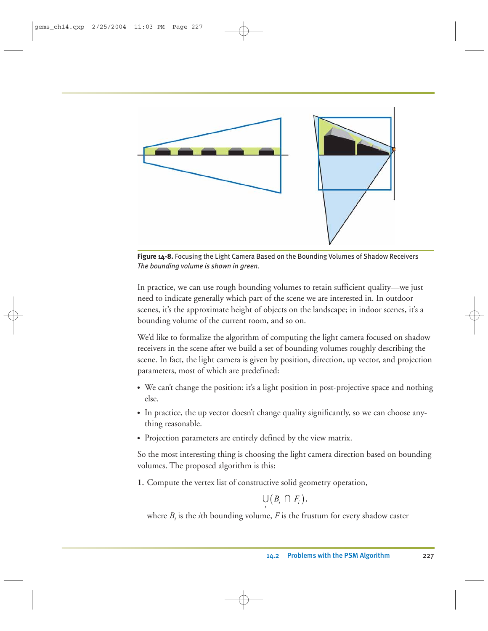

**Figure 14-8.** Focusing the Light Camera Based on the Bounding Volumes of Shadow Receivers *The bounding volume is shown in green.*

In practice, we can use rough bounding volumes to retain sufficient quality—we just need to indicate generally which part of the scene we are interested in. In outdoor scenes, it's the approximate height of objects on the landscape; in indoor scenes, it's a bounding volume of the current room, and so on.

We'd like to formalize the algorithm of computing the light camera focused on shadow receivers in the scene after we build a set of bounding volumes roughly describing the scene. In fact, the light camera is given by position, direction, up vector, and projection parameters, most of which are predefined:

- We can't change the position: it's a light position in post-projective space and nothing else.
- In practice, the up vector doesn't change quality significantly, so we can choose anything reasonable.
- Projection parameters are entirely defined by the view matrix.

So the most interesting thing is choosing the light camera direction based on bounding volumes. The proposed algorithm is this:

**1.** Compute the vertex list of constructive solid geometry operation,

 $\bigcup_i (B_i \cap F_i),$ 

where  $B_i$  is the *i*th bounding volume,  $F$  is the frustum for every shadow caster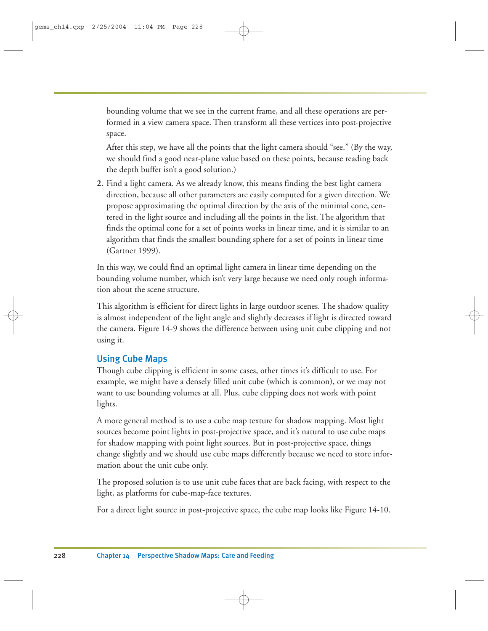bounding volume that we see in the current frame, and all these operations are performed in a view camera space. Then transform all these vertices into post-projective space.

After this step, we have all the points that the light camera should "see." (By the way, we should find a good near-plane value based on these points, because reading back the depth buffer isn't a good solution.)

**2.** Find a light camera. As we already know, this means finding the best light camera direction, because all other parameters are easily computed for a given direction. We propose approximating the optimal direction by the axis of the minimal cone, centered in the light source and including all the points in the list. The algorithm that finds the optimal cone for a set of points works in linear time, and it is similar to an algorithm that finds the smallest bounding sphere for a set of points in linear time (Gartner 1999).

In this way, we could find an optimal light camera in linear time depending on the bounding volume number, which isn't very large because we need only rough information about the scene structure.

This algorithm is efficient for direct lights in large outdoor scenes. The shadow quality is almost independent of the light angle and slightly decreases if light is directed toward the camera. Figure 14-9 shows the difference between using unit cube clipping and not using it.

#### Using Cube Maps

Though cube clipping is efficient in some cases, other times it's difficult to use. For example, we might have a densely filled unit cube (which is common), or we may not want to use bounding volumes at all. Plus, cube clipping does not work with point lights.

A more general method is to use a cube map texture for shadow mapping. Most light sources become point lights in post-projective space, and it's natural to use cube maps for shadow mapping with point light sources. But in post-projective space, things change slightly and we should use cube maps differently because we need to store information about the unit cube only.

The proposed solution is to use unit cube faces that are back facing, with respect to the light, as platforms for cube-map-face textures.

For a direct light source in post-projective space, the cube map looks like Figure 14-10.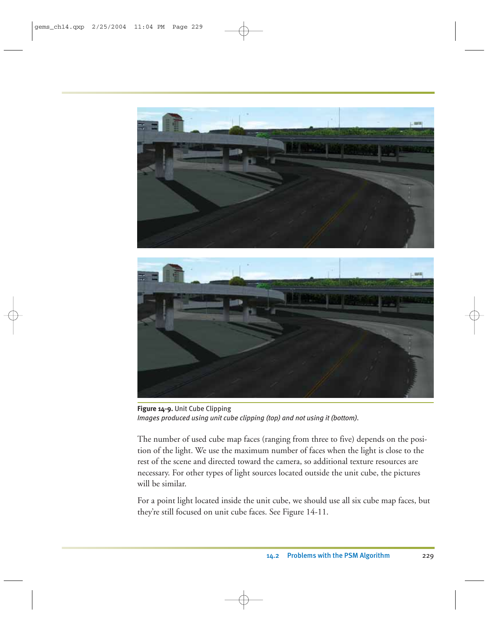



**Figure 14-9.** Unit Cube Clipping *Images produced using unit cube clipping (top) and not using it (bottom).*

The number of used cube map faces (ranging from three to five) depends on the position of the light. We use the maximum number of faces when the light is close to the rest of the scene and directed toward the camera, so additional texture resources are necessary. For other types of light sources located outside the unit cube, the pictures will be similar.

For a point light located inside the unit cube, we should use all six cube map faces, but they're still focused on unit cube faces. See Figure 14-11.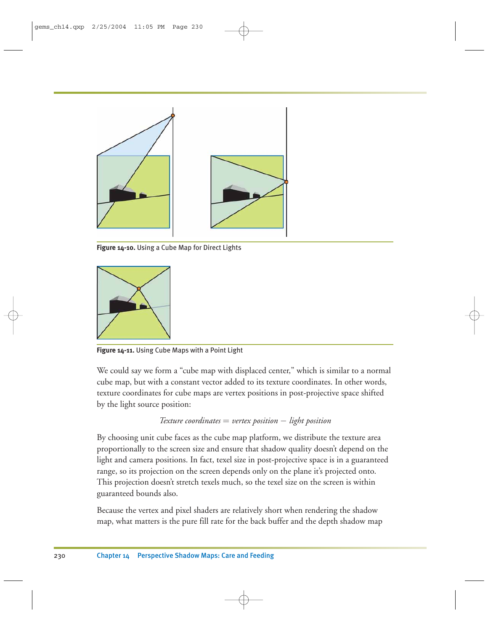

**Figure 14-10.** Using a Cube Map for Direct Lights



**Figure 14-11.** Using Cube Maps with a Point Light

We could say we form a "cube map with displaced center," which is similar to a normal cube map, but with a constant vector added to its texture coordinates. In other words, texture coordinates for cube maps are vertex positions in post-projective space shifted by the light source position:

#### *Texture coordinates* = *vertex position* − *light position*

By choosing unit cube faces as the cube map platform, we distribute the texture area proportionally to the screen size and ensure that shadow quality doesn't depend on the light and camera positions. In fact, texel size in post-projective space is in a guaranteed range, so its projection on the screen depends only on the plane it's projected onto. This projection doesn't stretch texels much, so the texel size on the screen is within guaranteed bounds also.

Because the vertex and pixel shaders are relatively short when rendering the shadow map, what matters is the pure fill rate for the back buffer and the depth shadow map

230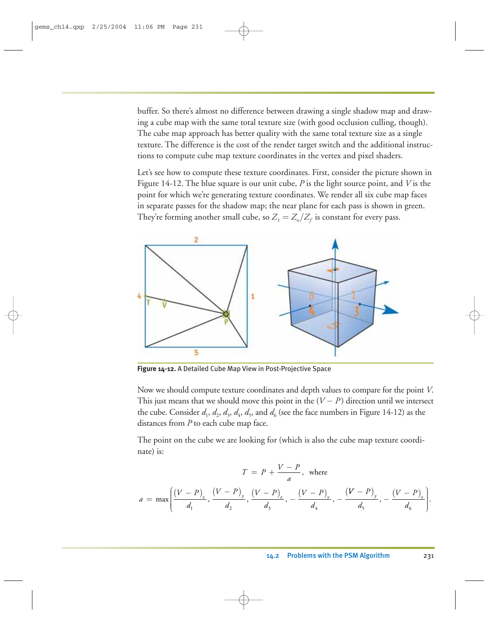buffer. So there's almost no difference between drawing a single shadow map and drawing a cube map with the same total texture size (with good occlusion culling, though). The cube map approach has better quality with the same total texture size as a single texture. The difference is the cost of the render target switch and the additional instructions to compute cube map texture coordinates in the vertex and pixel shaders.

Let's see how to compute these texture coordinates. First, consider the picture shown in Figure 14-12. The blue square is our unit cube, *P* is the light source point, and *V* is the point for which we're generating texture coordinates. We render all six cube map faces in separate passes for the shadow map; the near plane for each pass is shown in green. They're forming another small cube, so  $Z_1 = Z_n/Z_f$  is constant for every pass.



**Figure 14-12.** A Detailed Cube Map View in Post-Projective Space

Now we should compute texture coordinates and depth values to compare for the point *V*. This just means that we should move this point in the  $(V - P)$  direction until we intersect the cube. Consider  $d_1$ ,  $d_2$ ,  $d_3$ ,  $d_4$ ,  $d_5$ , and  $d_6$  (see the face numbers in Figure 14-12) as the distances from *P* to each cube map face.

The point on the cube we are looking for (which is also the cube map texture coordinate) is:

$$
T = P + \frac{V - P}{a}, \text{ where}
$$
  

$$
a = \max \left( \frac{(V - P)_x}{d_1}, \frac{(V - P)_y}{d_2}, \frac{(V - P)_z}{d_3}, -\frac{(V - P)_x}{d_4}, -\frac{(V - P)_y}{d_5}, -\frac{(V - P)_z}{d_6} \right).
$$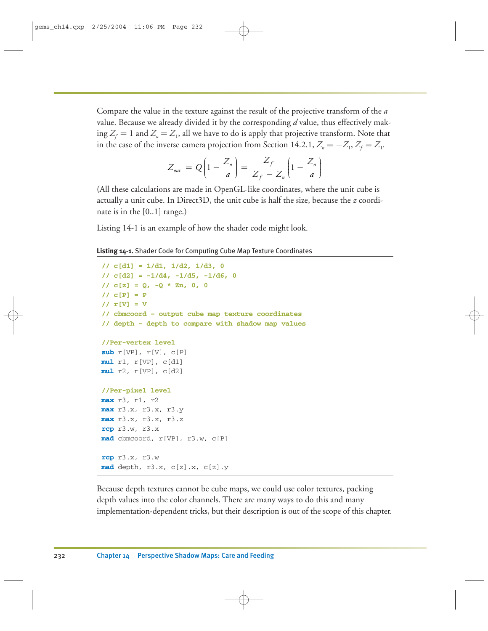Compare the value in the texture against the result of the projective transform of the *a* value. Because we already divided it by the corresponding *d* value, thus effectively making  $Z_f = 1$  and  $Z_n = Z_1$ , all we have to do is apply that projective transform. Note that in the case of the inverse camera projection from Section 14.2.1,  $Z_n = -Z_1$ ,  $Z_f = Z_1$ .

$$
Z_{out} = Q\left(1 - \frac{Z_n}{a}\right) = \frac{Z_f}{Z_f - Z_n}\left(1 - \frac{Z_n}{a}\right)
$$

(All these calculations are made in OpenGL-like coordinates, where the unit cube is actually a unit cube. In Direct3D, the unit cube is half the size, because the *z* coordinate is in the [0..1] range.)

Listing 14-1 is an example of how the shader code might look.

```
Listing 14-1. Shader Code for Computing Cube Map Texture Coordinates
```

```
// c[d1] = 1/d1, 1/d2, 1/d3, 0
// c[d2] = -1/d4, -1/d5, -1/d6, 0
// c[z] = Q, -Q * Zn, 0, 0 
// c[P] = P
// r[V] = V
// cbmcoord – output cube map texture coordinates
// depth – depth to compare with shadow map values 
//Per-vertex level
sub r[VP], r[V], c[P]
mul r1, r[VP], c[d1]
mul r2, r[VP], c[d2]
//Per-pixel level
max r3, r1, r2
max r3.x, r3.x, r3.y
max r3.x, r3.x, r3.z
rcp r3.w, r3.x
mad cbmcoord, r[VP], r3.w, c[P]
rcp r3.x, r3.w
mad depth, r3.x, c[z].x, c[z].y
```
Because depth textures cannot be cube maps, we could use color textures, packing depth values into the color channels. There are many ways to do this and many implementation-dependent tricks, but their description is out of the scope of this chapter.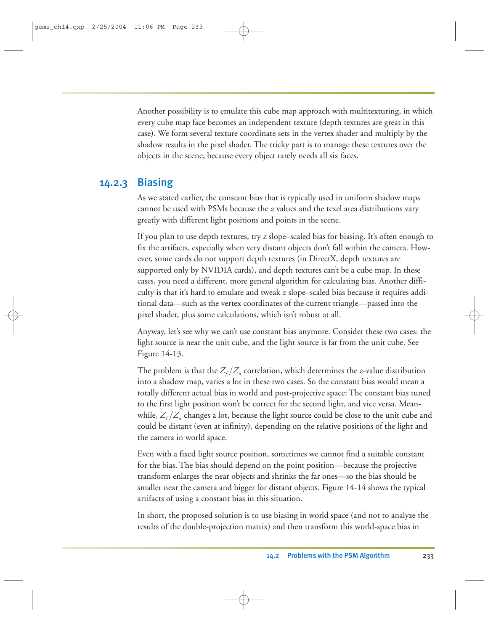Another possibility is to emulate this cube map approach with multitexturing, in which every cube map face becomes an independent texture (depth textures are great in this case). We form several texture coordinate sets in the vertex shader and multiply by the shadow results in the pixel shader. The tricky part is to manage these textures over the objects in the scene, because every object rarely needs all six faces.

### 14.2.3 Biasing

As we stated earlier, the constant bias that is typically used in uniform shadow maps cannot be used with PSMs because the *z* values and the texel area distributions vary greatly with different light positions and points in the scene.

If you plan to use depth textures, try *z* slope–scaled bias for biasing. It's often enough to fix the artifacts, especially when very distant objects don't fall within the camera. However, some cards do not support depth textures (in DirectX, depth textures are supported only by NVIDIA cards), and depth textures can't be a cube map. In these cases, you need a different, more general algorithm for calculating bias. Another difficulty is that it's hard to emulate and tweak *z* slope–scaled bias because it requires additional data—such as the vertex coordinates of the current triangle—passed into the pixel shader, plus some calculations, which isn't robust at all.

Anyway, let's see why we can't use constant bias anymore. Consider these two cases: the light source is near the unit cube, and the light source is far from the unit cube. See Figure 14-13.

The problem is that the  $Z_f/Z_n$  correlation, which determines the *z*-value distribution into a shadow map, varies a lot in these two cases. So the constant bias would mean a totally different actual bias in world and post-projective space: The constant bias tuned to the first light position won't be correct for the second light, and vice versa. Meanwhile,  $Z_f/Z_n$  changes a lot, because the light source could be close to the unit cube and could be distant (even at infinity), depending on the relative positions of the light and the camera in world space.

Even with a fixed light source position, sometimes we cannot find a suitable constant for the bias. The bias should depend on the point position—because the projective transform enlarges the near objects and shrinks the far ones—so the bias should be smaller near the camera and bigger for distant objects. Figure 14-14 shows the typical artifacts of using a constant bias in this situation.

In short, the proposed solution is to use biasing in world space (and not to analyze the results of the double-projection matrix) and then transform this world-space bias in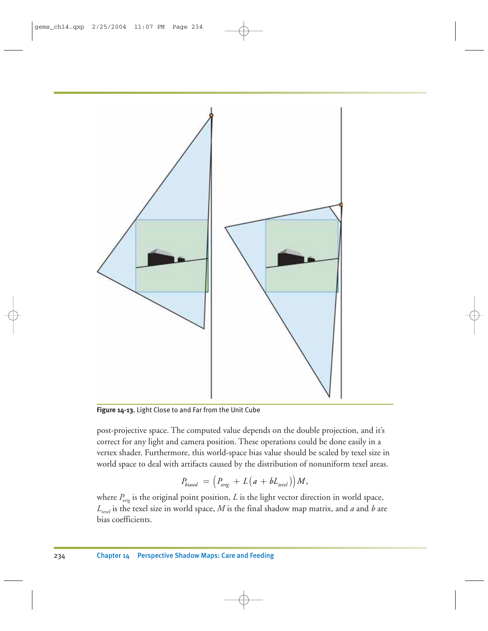

**Figure 14-13.** Light Close to and Far from the Unit Cube

post-projective space. The computed value depends on the double projection, and it's correct for any light and camera position. These operations could be done easily in a vertex shader. Furthermore, this world-space bias value should be scaled by texel size in world space to deal with artifacts caused by the distribution of nonuniform texel areas.

$$
P_{biased}\ = \Big(P_{orig}\ +\ L\big(a+ bL_{text}\big)\Big)M,
$$

where  $P_{\text{orig}}$  is the original point position, *L* is the light vector direction in world space,  $L_{\text{next}}$  is the texel size in world space, *M* is the final shadow map matrix, and *a* and *b* are bias coefficients.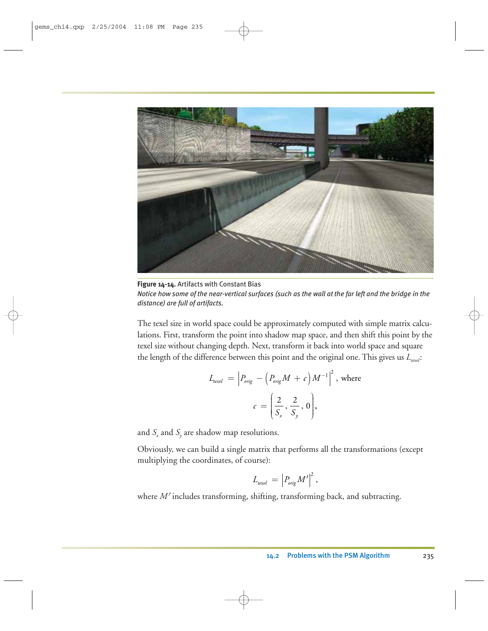

**Figure 14-14.** Artifacts with Constant Bias *Notice how some of the near-vertical surfaces (such as the wall at the far left and the bridge in the distance) are full of artifacts.*

The texel size in world space could be approximately computed with simple matrix calculations. First, transform the point into shadow map space, and then shift this point by the texel size without changing depth. Next, transform it back into world space and square the length of the difference between this point and the original one. This gives us  $L_{\text{level}}$ :

$$
L_{\text{text}} = \left| P_{\text{orig}} - \left( P_{\text{orig}} M + c \right) M^{-1} \right|^2, \text{ where}
$$

$$
c = \left( \frac{2}{S_x}, \frac{2}{S_y}, 0 \right),
$$

and  $S_x$  and  $S_y$  are shadow map resolutions.

Obviously, we can build a single matrix that performs all the transformations (except multiplying the coordinates, of course):

$$
L_{\text{level}}\,=\left|P_{\text{orig}}M'\right|^2,
$$

where *M'* includes transforming, shifting, transforming back, and subtracting.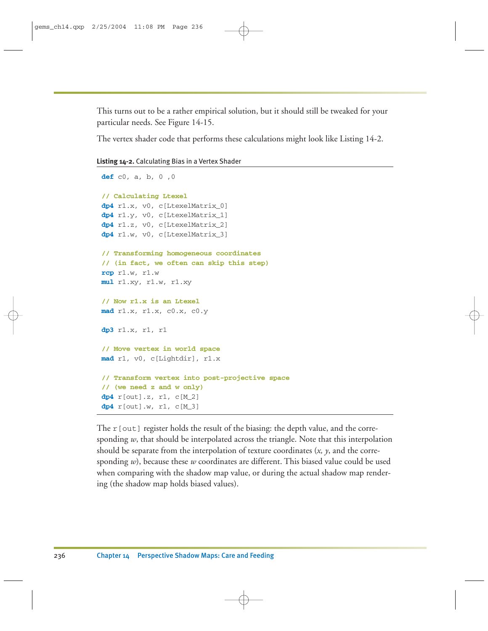This turns out to be a rather empirical solution, but it should still be tweaked for your particular needs. See Figure 14-15.

The vertex shader code that performs these calculations might look like Listing 14-2.

**Listing 14-2.** Calculating Bias in a Vertex Shader

```
def c0, a, b, 0 ,0
// Calculating Ltexel
dp4 r1.x, v0, c[LtexelMatrix_0]
dp4 r1.y, v0, c[LtexelMatrix_1]
dp4 r1.z, v0, c[LtexelMatrix_2]
dp4 r1.w, v0, c[LtexelMatrix_3]
// Transforming homogeneous coordinates 
// (in fact, we often can skip this step)
rcp r1.w, r1.w
mul r1.xy, r1.w, r1.xy
// Now r1.x is an Ltexel
mad r1.x, r1.x, c0.x, c0.y
dp3 r1.x, r1, r1
// Move vertex in world space
mad r1, v0, c[Lightdir], r1.x
// Transform vertex into post-projective space
// (we need z and w only)
dp4 r[out].z, r1, c[M_2]
dp4 r[out].w, r1, c[M_3]
```
The  $r$  [out] register holds the result of the biasing: the depth value, and the corresponding *w*, that should be interpolated across the triangle. Note that this interpolation should be separate from the interpolation of texture coordinates (*x, y*, and the corresponding *w*), because these *w* coordinates are different. This biased value could be used when comparing with the shadow map value, or during the actual shadow map rendering (the shadow map holds biased values).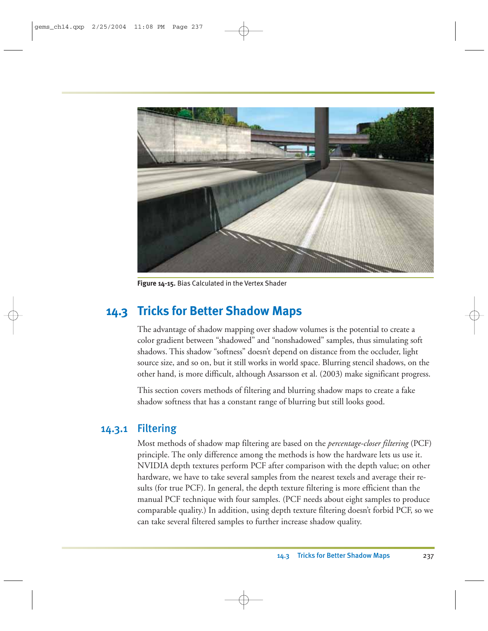

**Figure 14-15.** Bias Calculated in the Vertex Shader

# **14.3 Tricks for Better Shadow Maps**

The advantage of shadow mapping over shadow volumes is the potential to create a color gradient between "shadowed" and "nonshadowed" samples, thus simulating soft shadows. This shadow "softness" doesn't depend on distance from the occluder, light source size, and so on, but it still works in world space. Blurring stencil shadows, on the other hand, is more difficult, although Assarsson et al. (2003) make significant progress.

This section covers methods of filtering and blurring shadow maps to create a fake shadow softness that has a constant range of blurring but still looks good.

### 14.3.1 Filtering

Most methods of shadow map filtering are based on the *percentage-closer filtering* (PCF) principle. The only difference among the methods is how the hardware lets us use it. NVIDIA depth textures perform PCF after comparison with the depth value; on other hardware, we have to take several samples from the nearest texels and average their results (for true PCF). In general, the depth texture filtering is more efficient than the manual PCF technique with four samples. (PCF needs about eight samples to produce comparable quality.) In addition, using depth texture filtering doesn't forbid PCF, so we can take several filtered samples to further increase shadow quality.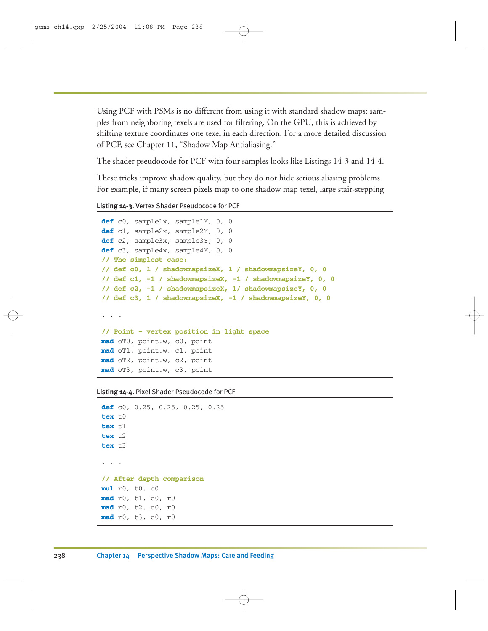Using PCF with PSMs is no different from using it with standard shadow maps: samples from neighboring texels are used for filtering. On the GPU, this is achieved by shifting texture coordinates one texel in each direction. For a more detailed discussion of PCF, see Chapter 11, "Shadow Map Antialiasing."

The shader pseudocode for PCF with four samples looks like Listings 14-3 and 14-4.

These tricks improve shadow quality, but they do not hide serious aliasing problems. For example, if many screen pixels map to one shadow map texel, large stair-stepping

**Listing 14-3.** Vertex Shader Pseudocode for PCF

```
def c0, sample1x, sample1Y, 0, 0
def c1, sample2x, sample2Y, 0, 0
def c2, sample3x, sample3Y, 0, 0
def c3, sample4x, sample4Y, 0, 0
// The simplest case:
// def c0, 1 / shadowmapsizeX, 1 / shadowmapsizeY, 0, 0
// def c1, -1 / shadowmapsizeX, -1 / shadowmapsizeY, 0, 0
// def c2, -1 / shadowmapsizeX, 1/ shadowmapsizeY, 0, 0
// def c3, 1 / shadowmapsizeX, -1 / shadowmapsizeY, 0, 0
. . . 
// Point – vertex position in light space
mad oT0, point.w, c0, point
mad oT1, point.w, c1, point
mad oT2, point.w, c2, point
mad oT3, point.w, c3, point
```
**Listing 14-4.** Pixel Shader Pseudocode for PCF

```
def c0, 0.25, 0.25, 0.25, 0.25
tex t0
tex t1
tex t2
tex t3
. . .
// After depth comparison
mul r0, t0, c0
mad r0, t1, c0, r0
mad r0, t2, c0, r0
mad r0, t3, c0, r0
```
238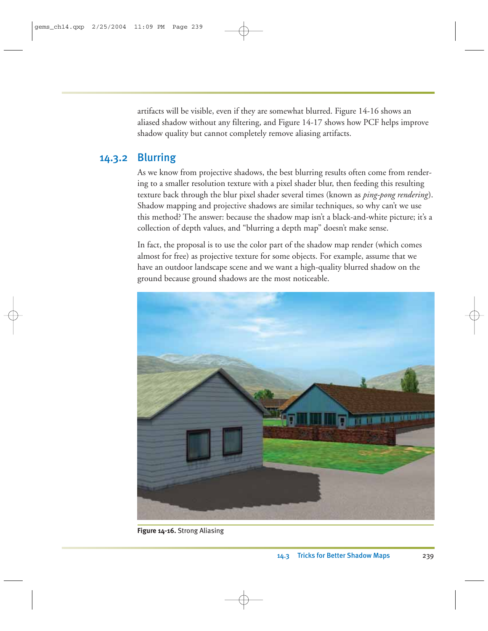artifacts will be visible, even if they are somewhat blurred. Figure 14-16 shows an aliased shadow without any filtering, and Figure 14-17 shows how PCF helps improve shadow quality but cannot completely remove aliasing artifacts.

### 14.3.2 Blurring

As we know from projective shadows, the best blurring results often come from rendering to a smaller resolution texture with a pixel shader blur, then feeding this resulting texture back through the blur pixel shader several times (known as *ping-pong rendering*). Shadow mapping and projective shadows are similar techniques, so why can't we use this method? The answer: because the shadow map isn't a black-and-white picture; it's a collection of depth values, and "blurring a depth map" doesn't make sense.

In fact, the proposal is to use the color part of the shadow map render (which comes almost for free) as projective texture for some objects. For example, assume that we have an outdoor landscape scene and we want a high-quality blurred shadow on the ground because ground shadows are the most noticeable.



**Figure 14-16.** Strong Aliasing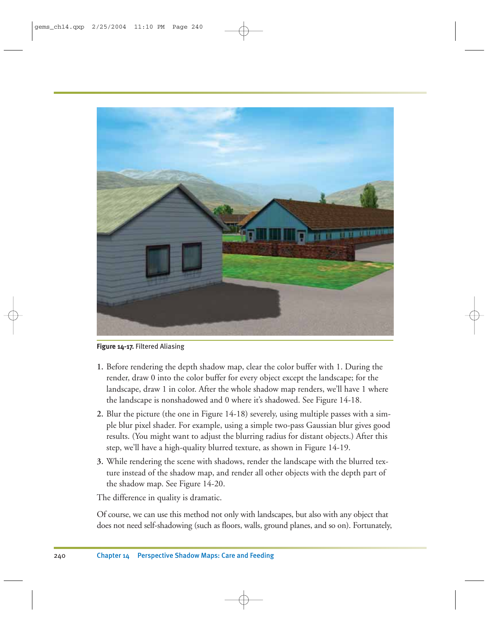

**Figure 14-17.** Filtered Aliasing

- **1.** Before rendering the depth shadow map, clear the color buffer with 1. During the render, draw 0 into the color buffer for every object except the landscape; for the landscape, draw 1 in color. After the whole shadow map renders, we'll have 1 where the landscape is nonshadowed and 0 where it's shadowed. See Figure 14-18.
- **2.** Blur the picture (the one in Figure 14-18) severely, using multiple passes with a simple blur pixel shader. For example, using a simple two-pass Gaussian blur gives good results. (You might want to adjust the blurring radius for distant objects.) After this step, we'll have a high-quality blurred texture, as shown in Figure 14-19.
- **3.** While rendering the scene with shadows, render the landscape with the blurred texture instead of the shadow map, and render all other objects with the depth part of the shadow map. See Figure 14-20.

The difference in quality is dramatic.

240

Of course, we can use this method not only with landscapes, but also with any object that does not need self-shadowing (such as floors, walls, ground planes, and so on). Fortunately,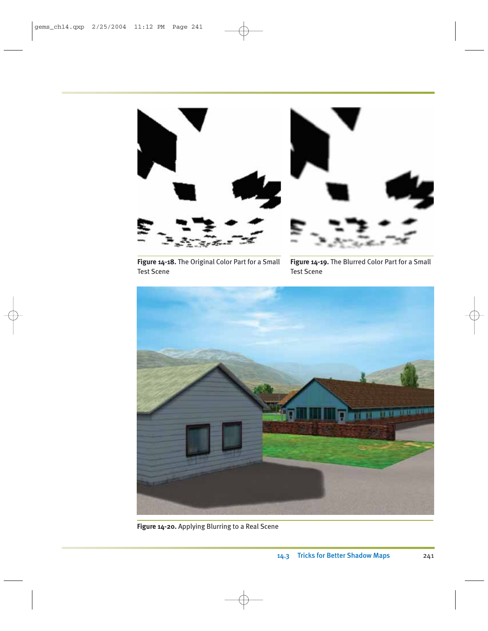

**Figure 14-18.** The Original Color Part for a Small Test Scene

**Figure 14-19.** The Blurred Color Part for a Small Test Scene



**Figure 14-20.** Applying Blurring to a Real Scene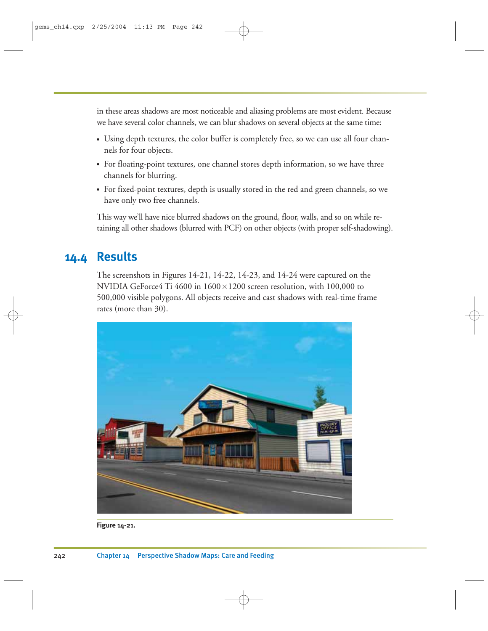in these areas shadows are most noticeable and aliasing problems are most evident. Because we have several color channels, we can blur shadows on several objects at the same time:

- Using depth textures, the color buffer is completely free, so we can use all four channels for four objects.
- For floating-point textures, one channel stores depth information, so we have three channels for blurring.
- For fixed-point textures, depth is usually stored in the red and green channels, so we have only two free channels.

This way we'll have nice blurred shadows on the ground, floor, walls, and so on while retaining all other shadows (blurred with PCF) on other objects (with proper self-shadowing).

## **14.4 Results**

The screenshots in Figures 14-21, 14-22, 14-23, and 14-24 were captured on the NVIDIA GeForce4 Ti 4600 in 1600×1200 screen resolution, with 100,000 to 500,000 visible polygons. All objects receive and cast shadows with real-time frame rates (more than 30).



**Figure 14-21.**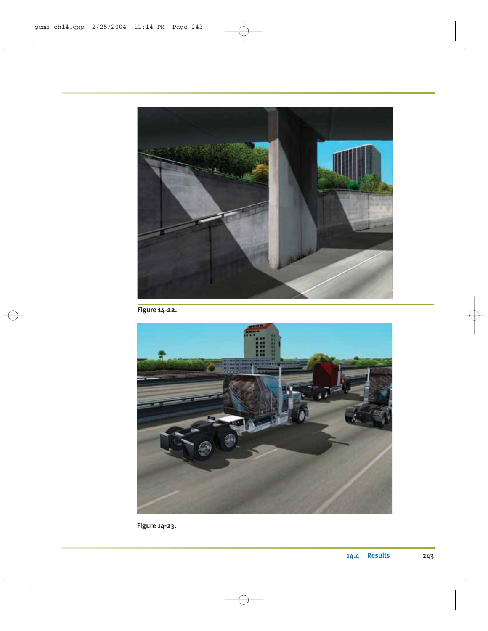

**Figure 14-22.**



**Figure 14-23.**